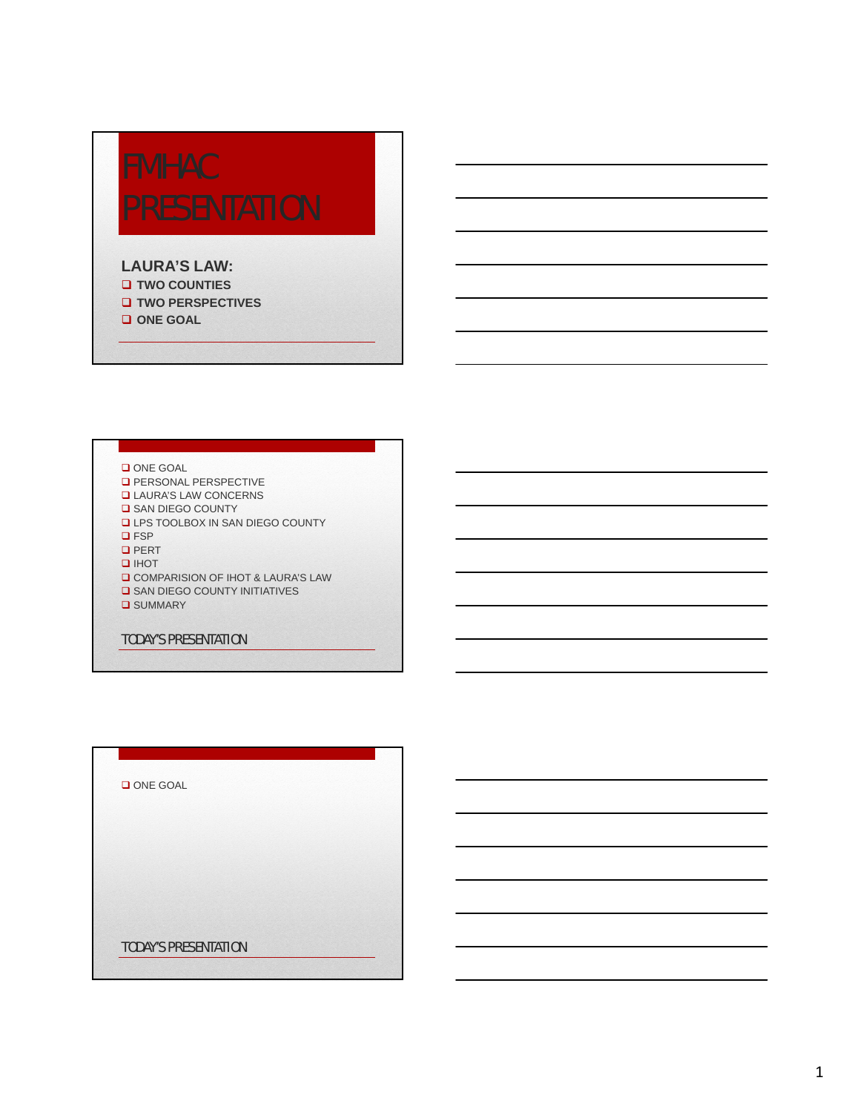# **FMHAC**

### **LAURA'S LAW:**

- **TWO COUNTIES TWO PERSPECTIVES**
- **ONE GOAL**

### ONE GOAL

- **D** PERSONAL PERSPECTIVE
- LAURA'S LAW CONCERNS
- **O** SAN DIEGO COUNTY
- **LPS TOOLBOX IN SAN DIEGO COUNTY**
- **Q**FSP
- **Q** PERT
- $I$ IHOT
- **Q COMPARISION OF IHOT & LAURA'S LAW**
- **G** SAN DIEGO COUNTY INITIATIVES
- **Q** SUMMARY

### TODAY'S PRESENTATION

ONE GOAL

TODAY'S PRESENTATION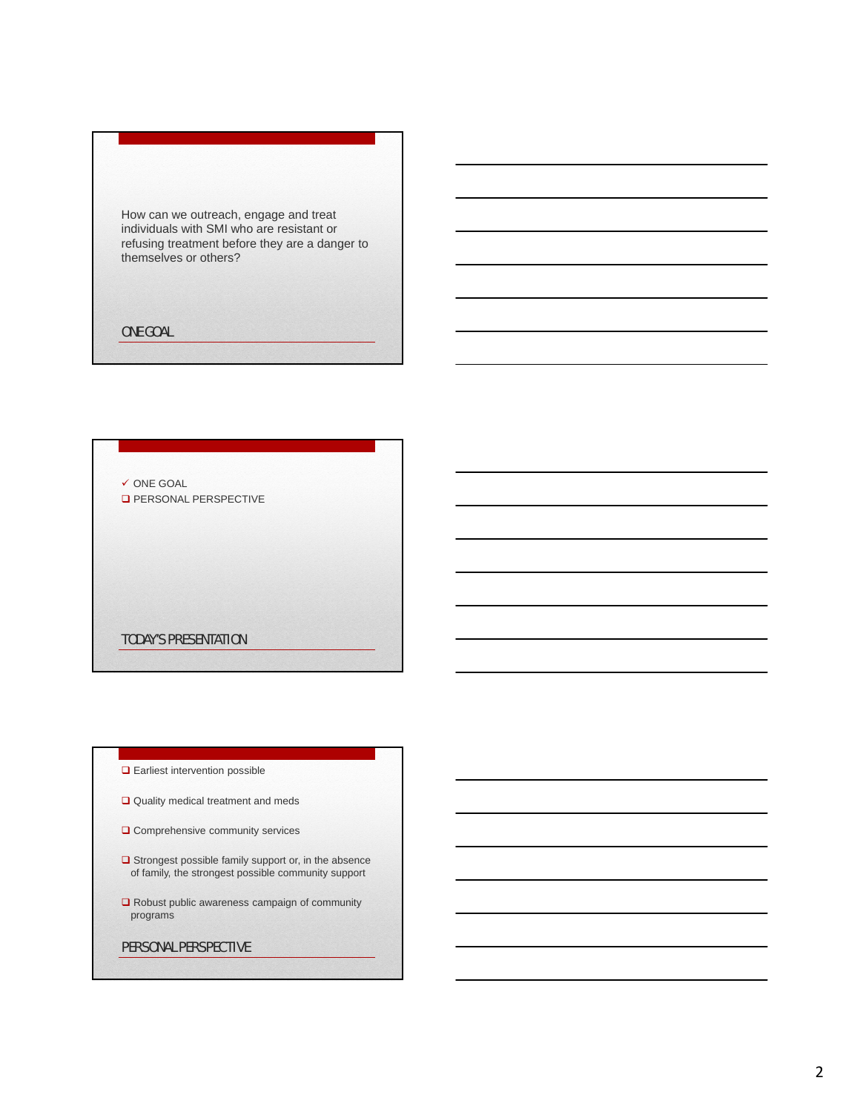How can we outreach, engage and treat individuals with SMI who are resistant or refusing treatment before they are a danger to themselves or others?

ONE GOAL

 $\checkmark$  ONE GOAL

**D** PERSONAL PERSPECTIVE

TODAY'S PRESENTATION

- **Q** Earliest intervention possible
- Quality medical treatment and meds
- O Comprehensive community services
- $\Box$  Strongest possible family support or, in the absence of family, the strongest possible community support
- □ Robust public awareness campaign of community programs

PERSONAL PERSPECTIVE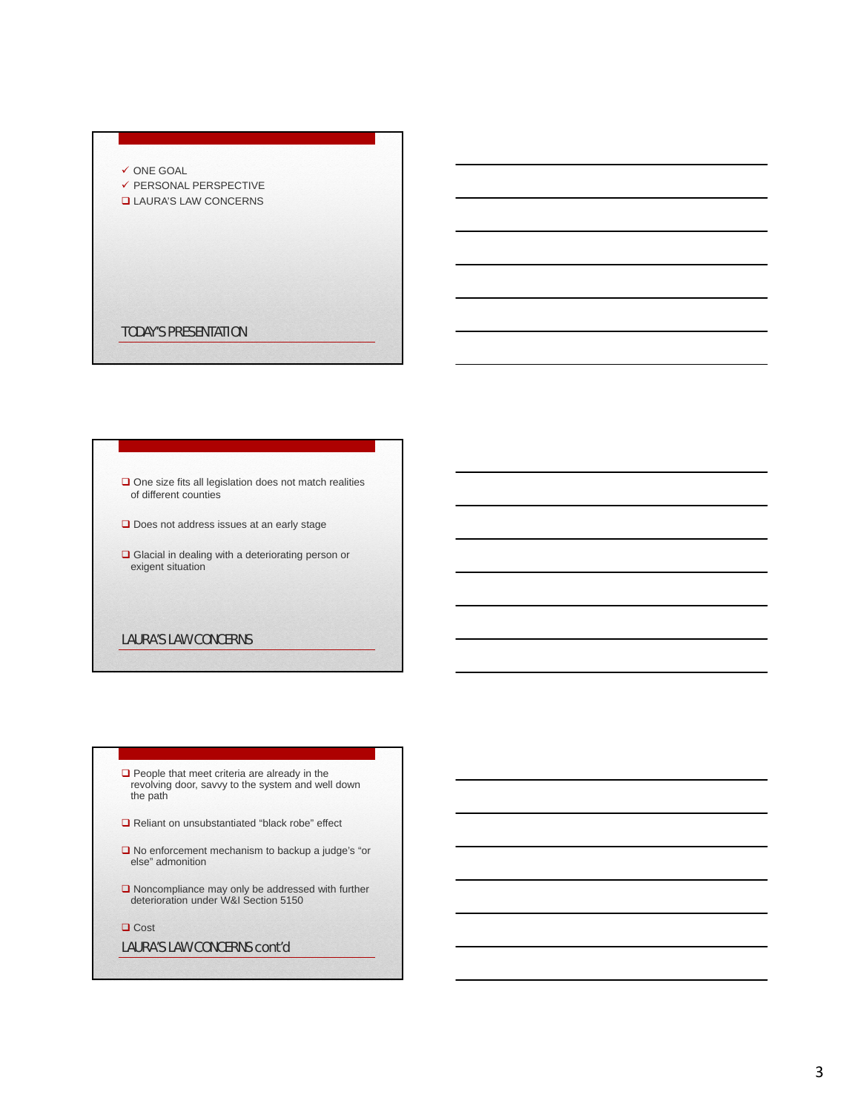### $\checkmark$  ONE GOAL

- $\checkmark$  PERSONAL PERSPECTIVE
- LAURA'S LAW CONCERNS

### TODAY'S PRESENTATION

### $\square$  One size fits all legislation does not match realities of different counties

- Does not address issues at an early stage
- Glacial in dealing with a deteriorating person or exigent situation

### LAURA'S LAW CONCERNS

- $\Box$  People that meet criteria are already in the revolving door, savvy to the system and well down the path
- Reliant on unsubstantiated "black robe" effect
- $\square$  No enforcement mechanism to backup a judge's "or else" admonition
- Noncompliance may only be addressed with further deterioration under W&I Section 5150
- □ Cost

### LAURA'S LAW CONCERNS cont'd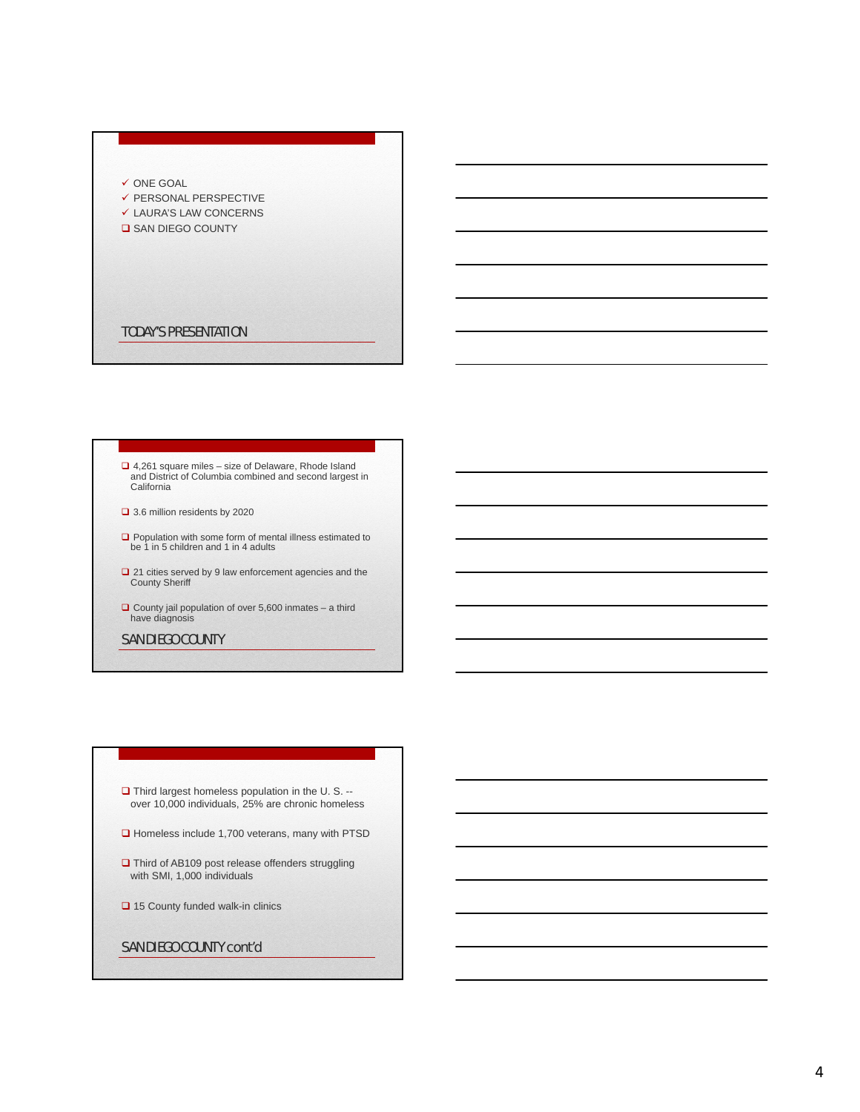### $\checkmark$  ONE GOAL

- $\checkmark$  PERSONAL PERSPECTIVE
- LAURA'S LAW CONCERNS
- **Q** SAN DIEGO COUNTY

TODAY'S PRESENTATION

# 4,261 square miles – size of Delaware, Rhode Island and District of Columbia combined and second largest in California

- □ 3.6 million residents by 2020
- $\Box$  Population with some form of mental illness estimated to be 1 in 5 children and 1 in 4 adults
- □ 21 cities served by 9 law enforcement agencies and the County Sheriff
- $\Box$  County jail population of over 5,600 inmates a third have diagnosis

### SAN DIEGO COUNTY

### $\Box$  Third largest homeless population in the U. S. -over 10,000 individuals, 25% are chronic homeless

- $\Box$  Homeless include 1,700 veterans, many with PTSD
- Third of AB109 post release offenders struggling with SMI, 1,000 individuals
- 15 County funded walk-in clinics

### SAN DIEGO COUNTY cont'd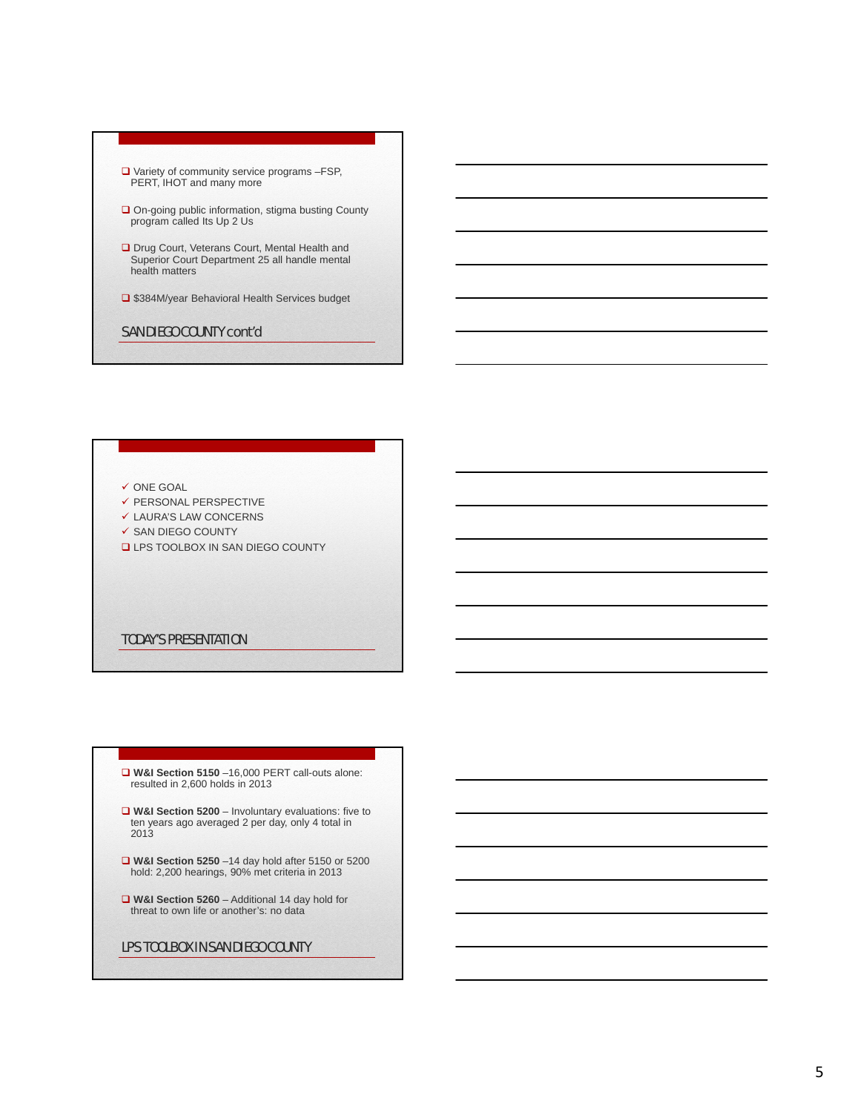- □ Variety of community service programs -FSP, PERT, IHOT and many more
- **□** On-going public information, stigma busting County program called Its Up 2 Us
- □ Drug Court, Veterans Court, Mental Health and Superior Court Department 25 all handle mental health matters
- □ \$384M/year Behavioral Health Services budget
- SAN DIEGO COUNTY cont'd

### $\checkmark$  ONE GOAL

- $\checkmark$  PERSONAL PERSPECTIVE
- $\checkmark$  LAURA'S LAW CONCERNS
- $\checkmark$  SAN DIEGO COUNTY
- **LPS TOOLBOX IN SAN DIEGO COUNTY**

### TODAY'S PRESENTATION

- **W&I Section 5150** –16,000 PERT call-outs alone: resulted in 2,600 holds in 2013
- **W&I Section 5200** Involuntary evaluations: five to ten years ago averaged 2 per day, only 4 total in 2013
- **W&I Section 5250** 14 day hold after 5150 or 5200 hold: 2,200 hearings, 90% met criteria in 2013
- **W&I Section 5260** Additional 14 day hold for threat to own life or another's: no data

### LPS TOOLBOX IN SAN DIEGO COUNTY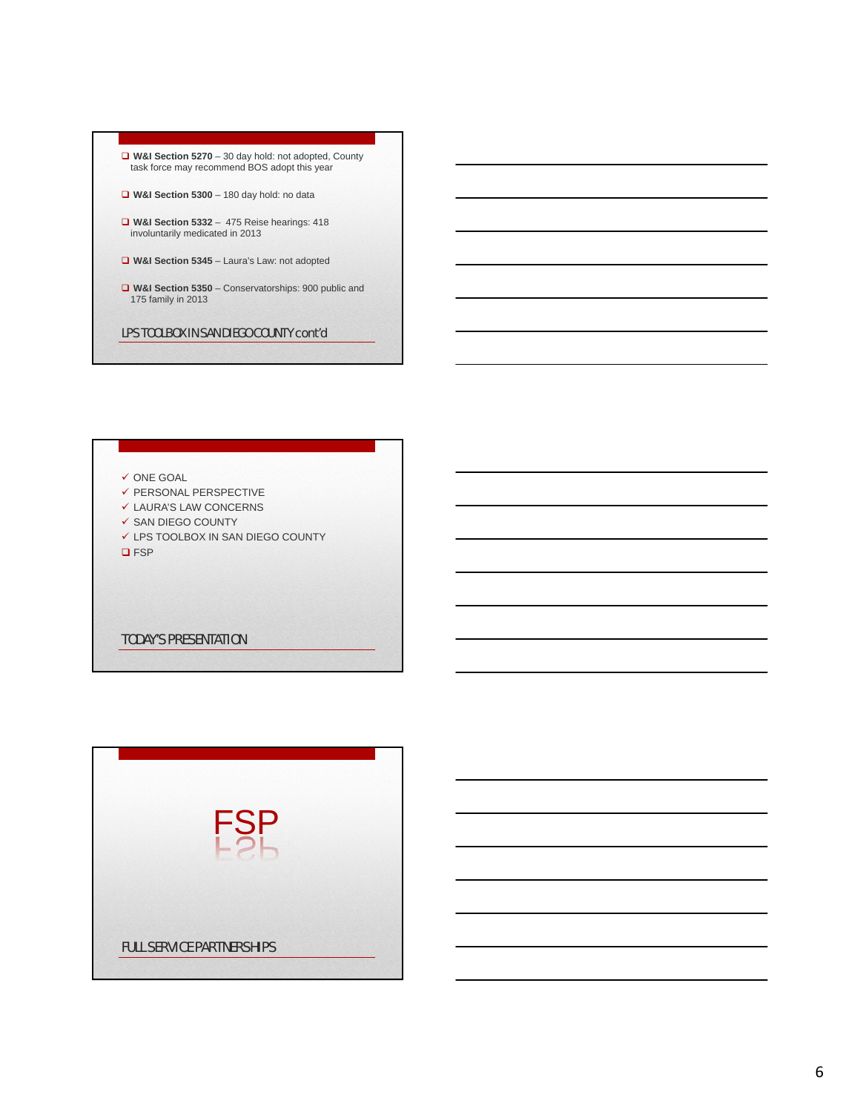



- $\checkmark$  PERSONAL PERSPECTIVE
- $\checkmark$  LAURA'S LAW CONCERNS
- $\checkmark$  SAN DIEGO COUNTY
- LPS TOOLBOX IN SAN DIEGO COUNTY
- **Q**FSP

### TODAY'S PRESENTATION

|  | <b>FSP</b>                       |  |  |
|--|----------------------------------|--|--|
|  | <b>FULL SERVICE PARTNERSHIPS</b> |  |  |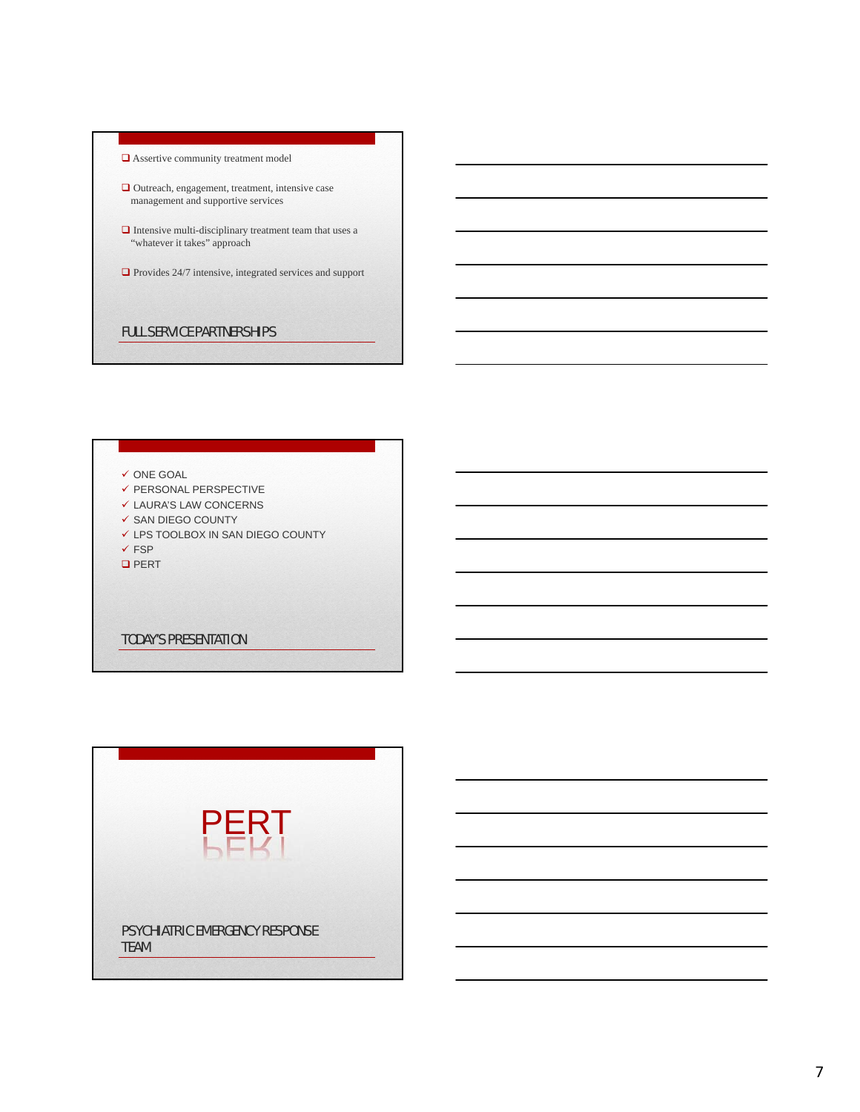|             | PERT                                  |  |
|-------------|---------------------------------------|--|
|             |                                       |  |
|             |                                       |  |
| <b>TEAM</b> | <b>PSYCHIATRIC EMERGENCY RESPONSE</b> |  |

FULL SERVICE PARTNERSHIPS

 $\checkmark$  PERSONAL PERSPECTIVE  $\checkmark$  LAURA'S LAW CONCERNS  $\checkmark$  SAN DIEGO COUNTY

LPS TOOLBOX IN SAN DIEGO COUNTY

TODAY'S PRESENTATION

 $\checkmark$  ONE GOAL

 $\checkmark$  FSP **Q** PERT

"whatever it takes" approach

**□** Assertive community treatment model

**□** Outreach, engagement, treatment, intensive case management and supportive services

 $\hfill\Box$  <br> Intensive multi-disciplinary treatment team that uses a

 $\Box$  Provides 24/7 intensive, integrated services and support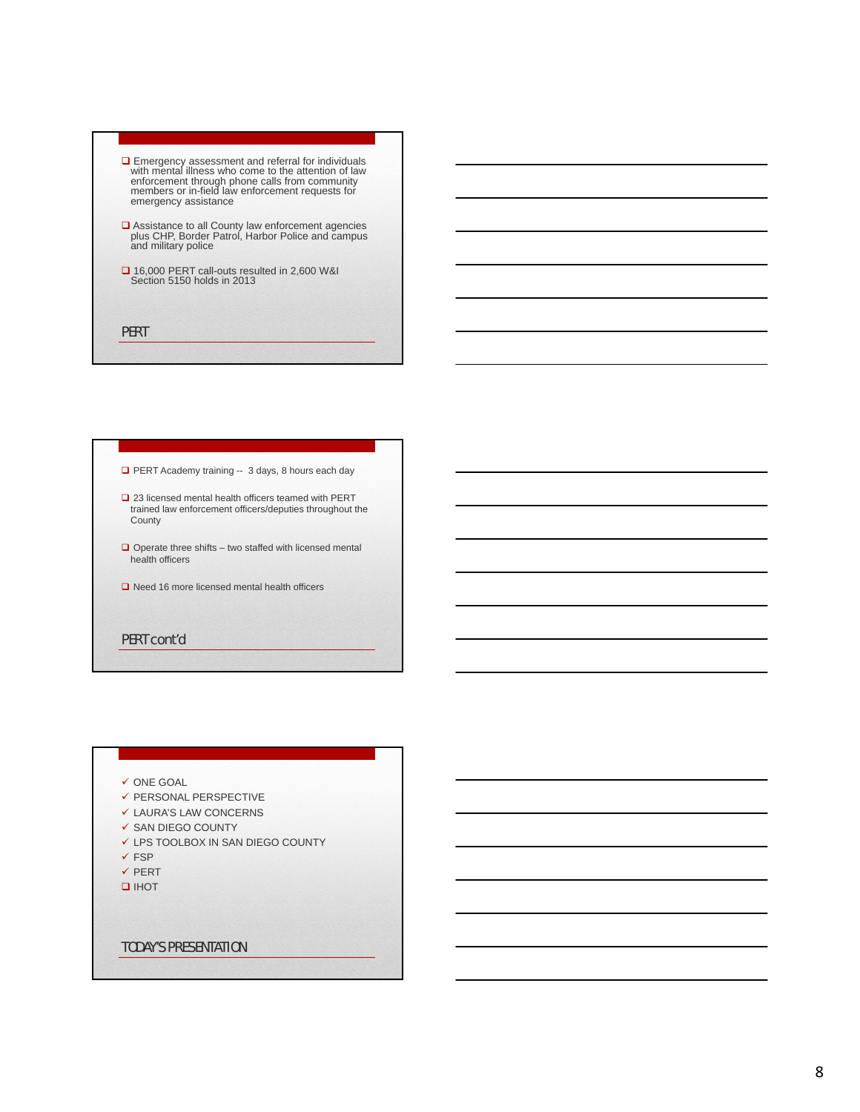- Emergency assessment and referral for individuals with mental illness who come to the attention of law enforcement through phone calls from community members or in-field law enforcement requests for emergency assistance
- Assistance to all County law enforcement agencies plus CHP, Border Patrol, Harbor Police and campus and military police
- 16,000 PERT call-outs resulted in 2,600 W&I Section 5150 holds in 2013

**PERT** 

- PERT Academy training -- 3 days, 8 hours each day
- □ 23 licensed mental health officers teamed with PERT trained law enforcement officers/deputies throughout the County
- $\Box$  Operate three shifts two staffed with licensed mental health officers
- $\Box$  Need 16 more licensed mental health officers

PERT cont'd

### $\checkmark$  ONE GOAL

- $\checkmark$  PERSONAL PERSPECTIVE
- LAURA'S LAW CONCERNS
- $\checkmark$  SAN DIEGO COUNTY
- LPS TOOLBOX IN SAN DIEGO COUNTY
- $\checkmark$  FSP
- $\checkmark$  PERT
- $I$  IHOT

TODAY'S PRESENTATION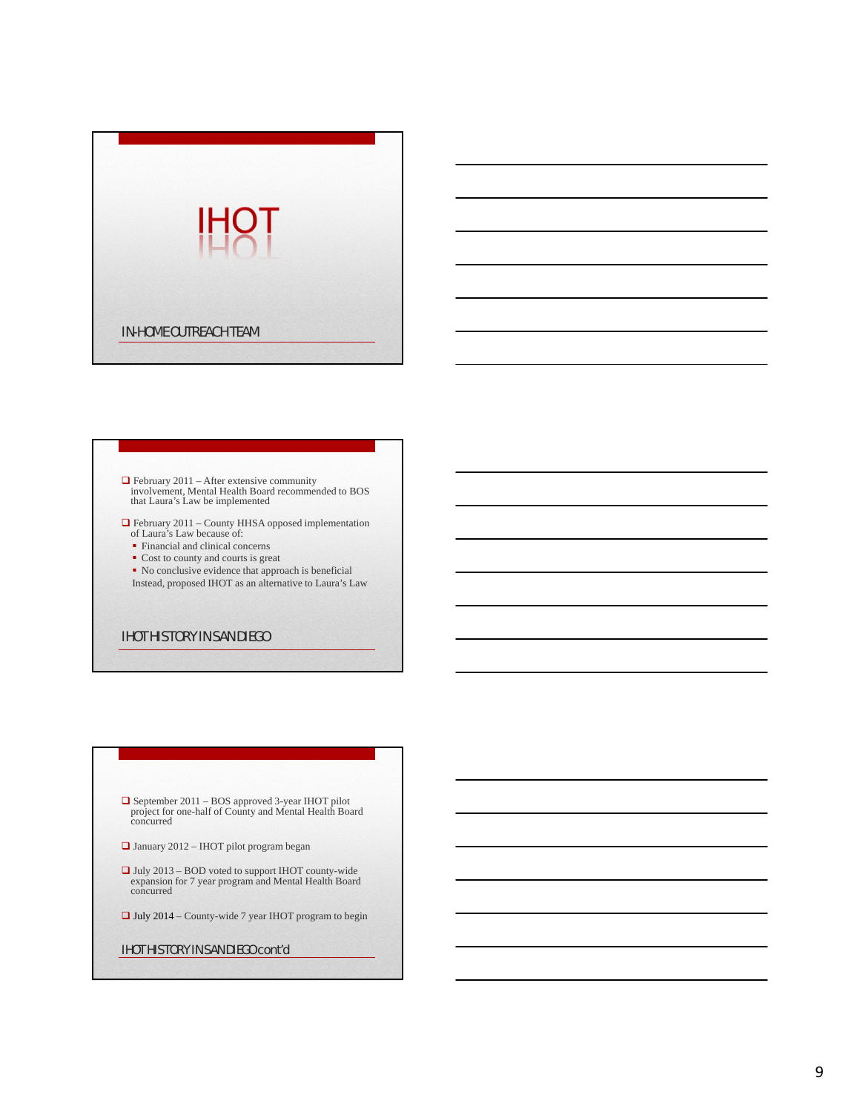

# February 2011 – After extensive community involvement, Mental Health Board recommended to BOS that Laura's Law be implemented

- February 2011 County HHSA opposed implementation of Laura's Law because of:
	- Financial and clinical concerns
	- Cost to county and courts is great
- No conclusive evidence that approach is beneficial Instead, proposed IHOT as an alternative to Laura's Law

### IHOT HISTORY IN SAN DIEGO

- September 2011 BOS approved 3-year IHOT pilot project for one-half of County and Mental Health Board concurred
- January 2012 IHOT pilot program began
- July 2013 BOD voted to support IHOT county-wide expansion for 7 year program and Mental Health Board concurred
- $\Box$  July 2014 County-wide 7 year IHOT program to begin

### IHOT HISTORY IN SAN DIEGO cont'd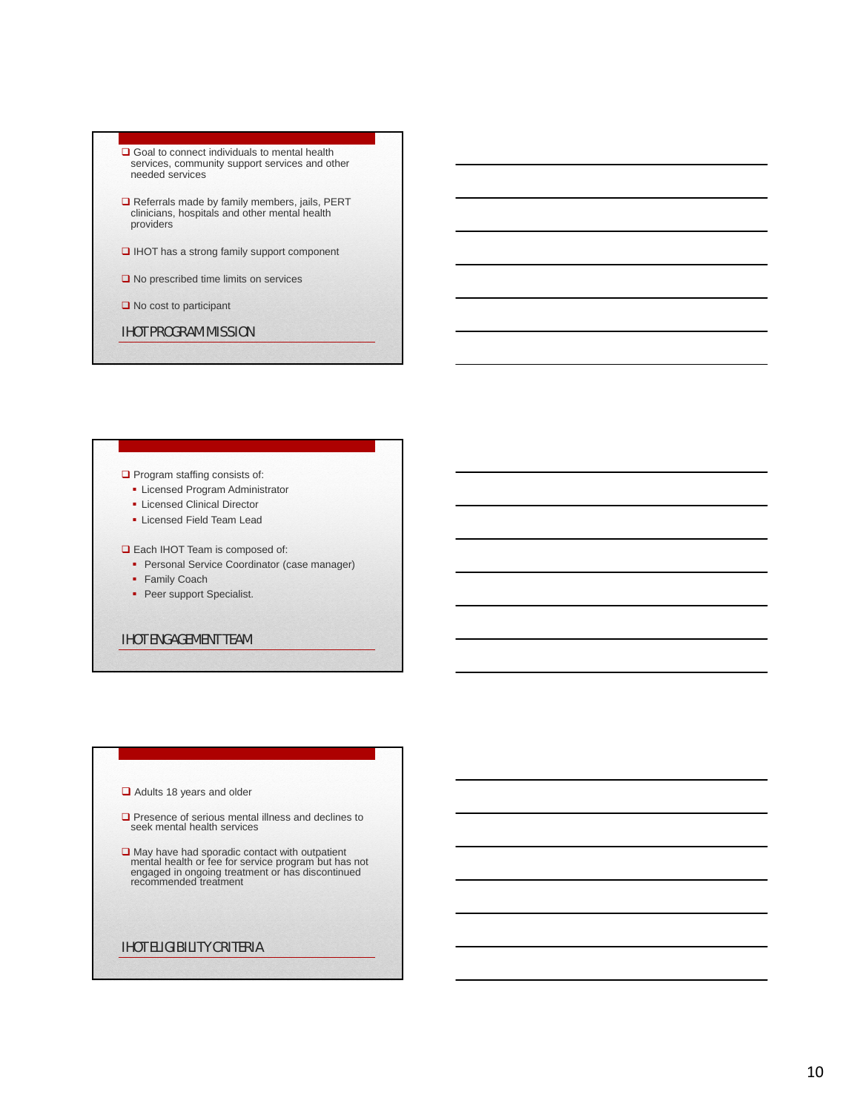- Goal to connect individuals to mental health services, community support services and other needed services
- Referrals made by family members, jails, PERT clinicians, hospitals and other mental health providers
- □ IHOT has a strong family support component
- **□** No prescribed time limits on services
- $\Box$  No cost to participant
- IHOT PROGRAM MISSION

### $\Box$  Program staffing consists of:

- **Licensed Program Administrator**
- **-** Licensed Clinical Director
- **Exercised Field Team Lead**

Each IHOT Team is composed of:

- **Personal Service Coordinator (case manager)**
- Family Coach
- Peer support Specialist.
- IHOT ENGAGEMENT TEAM

### Adults 18 years and older

- Presence of serious mental illness and declines to seek mental health services
- **□** May have had sporadic contact with outpatient mental health or fee for service program but has not engaged in ongoing treatment or has discontinued recommended treatment

### IHOT ELIGIBILITY CRITERIA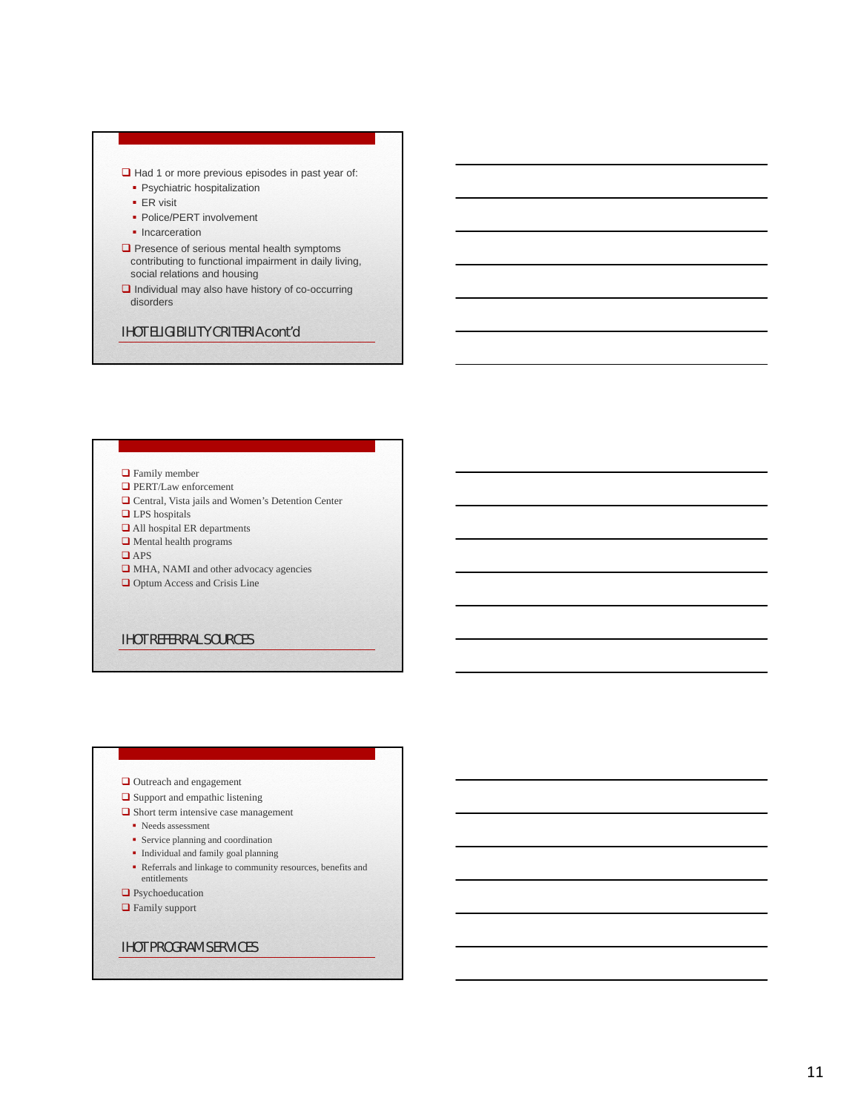### $\Box$  Had 1 or more previous episodes in past year of:

- **Psychiatric hospitalization**
- ER visit
- Police/PERT involvement
- Incarceration
- $\square$  Presence of serious mental health symptoms contributing to functional impairment in daily living, social relations and housing
- $\Box$  Individual may also have history of co-occurring disorders

### IHOT ELIGIBILITY CRITERIA cont'd

### **Q** Family member

- **Q** PERT/Law enforcement
- **□** Central, Vista jails and Women's Detention Center
- **□** LPS hospitals
- All hospital ER departments
- $\Box$  Mental health programs
- **□** APS
- $\hfill\Box$  MHA, NAMI and other advocacy agencies
- $\hfill\Box$ <br> <br> Optum Access and Crisis Line

### IHOT REFERRAL SOURCES

### **□** Outreach and engagement

- $\Box$  Support and empathic listening
- $\Box$  Short term intensive case management
	- Needs assessment
	- Service planning and coordination
	- $\bullet~$  Individual and family goal planning
	- Referrals and linkage to community resources, benefits and entitlements
- **Q** Psychoeducation
- **□** Family support

### IHOT PROGRAM SERVICES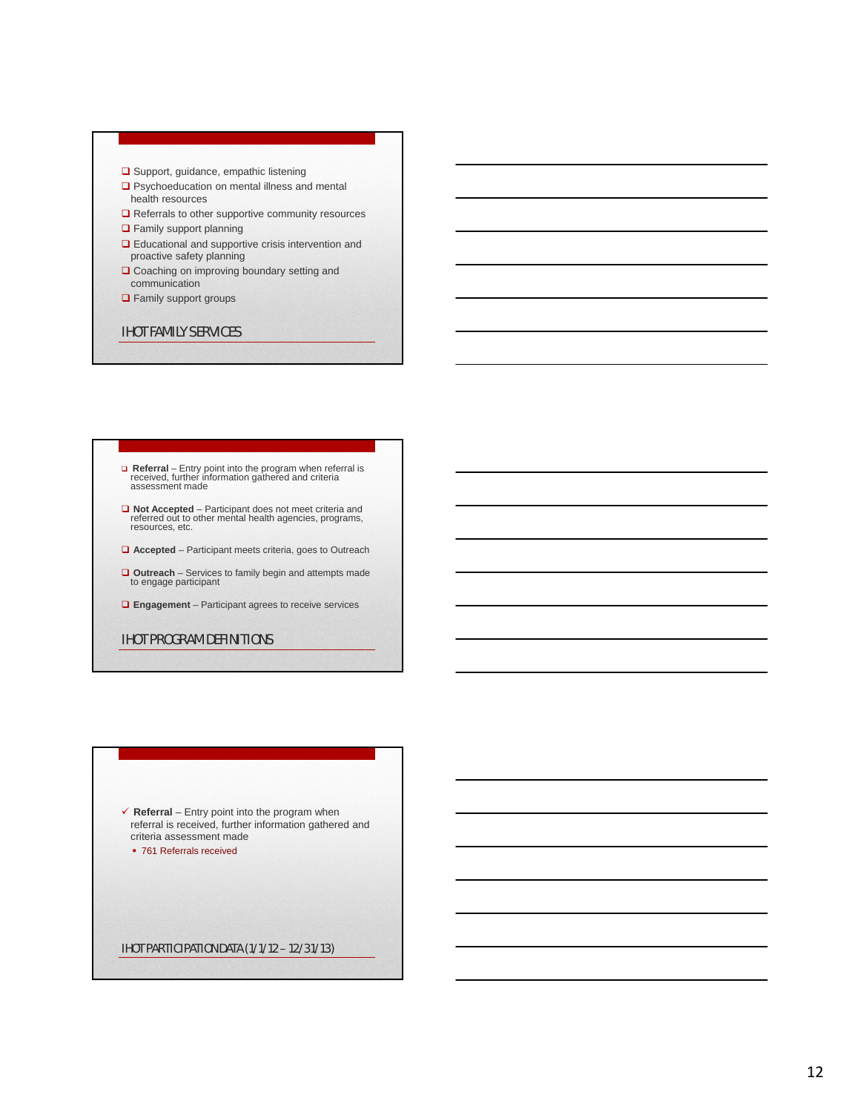- $\square$  Support, guidance, empathic listening
- □ Psychoeducation on mental illness and mental health resources
- **□** Referrals to other supportive community resources
- **Q** Family support planning
- □ Educational and supportive crisis intervention and proactive safety planning
- **Q** Coaching on improving boundary setting and communication
- **Q** Family support groups

### IHOT FAMILY SERVICES

# **□ Referral** – Entry point into the program when referral is received, further information gathered and criteria assessment made

- **Not Accepted**  Participant does not meet criteria and referred out to other mental health agencies, programs, resources, etc.
- **Accepted** Participant meets criteria, goes to Outreach
- **Outreach** Services to family begin and attempts made to engage participant
- **Engagement** Participant agrees to receive services

### IHOT PROGRAM DEFINITIONS

 $\checkmark$  **Referral** – Entry point into the program when referral is received, further information gathered and criteria assessment made • 761 Referrals received

IHOT PARTICIPATION DATA (1/1/12 – 12/31/13)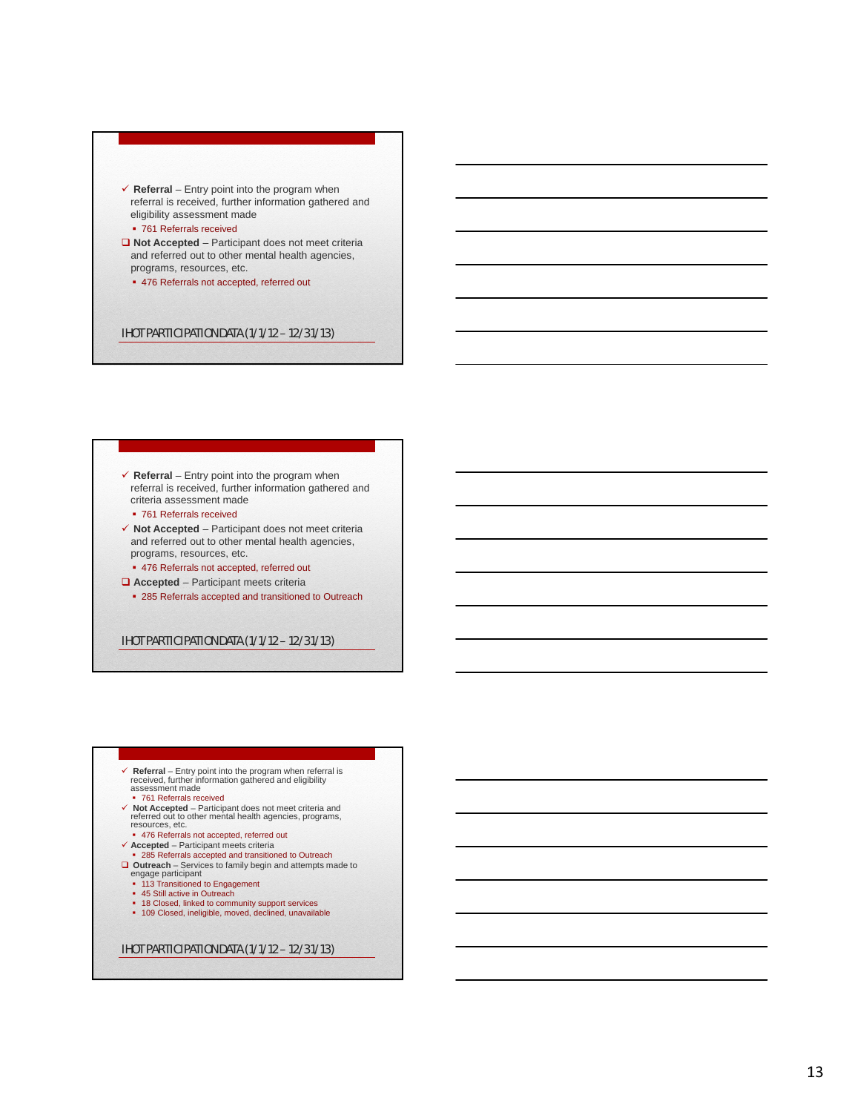### **Referral** – Entry point into the program when referral is received, further information gathered and eligibility assessment made

- **761 Referrals received**
- **Not Accepted**  Participant does not meet criteria and referred out to other mental health agencies, programs, resources, etc.
	- 476 Referrals not accepted, referred out

### IHOT PARTICIPATION DATA (1/1/12 – 12/31/13)

### $\checkmark$  **Referral** – Entry point into the program when referral is received, further information gathered and criteria assessment made

- 761 Referrals received
- **Not Accepted**  Participant does not meet criteria and referred out to other mental health agencies, programs, resources, etc.
- 476 Referrals not accepted, referred out
- **Accepted** Participant meets criteria
- 285 Referrals accepted and transitioned to Outreach

IHOT PARTICIPATION DATA (1/1/12 – 12/31/13)

- **Referral** Entry point into the program when referral is received, further information gathered and eligibility assessment made
- 761 Referrals received
- **Not Accepted**  Participant does not meet criteria and referred out to other mental health agencies, programs,
- resources, etc. 476 Referrals not accepted, referred out **Accepted** Participant meets criteria
- 
- 285 Referrals accepted and transitioned to Outreach
- **□ Outreach** Services to family begin and attempts made to<br> **engage participant**<br>
113 Transitioned to Engagement<br>
145 Still active in Outreach
	-
	-
	- 18 Closed, linked to community support services 109 Closed, ineligible, moved, declined, unavailable
	-

### IHOT PARTICIPATION DATA (1/1/12 – 12/31/13)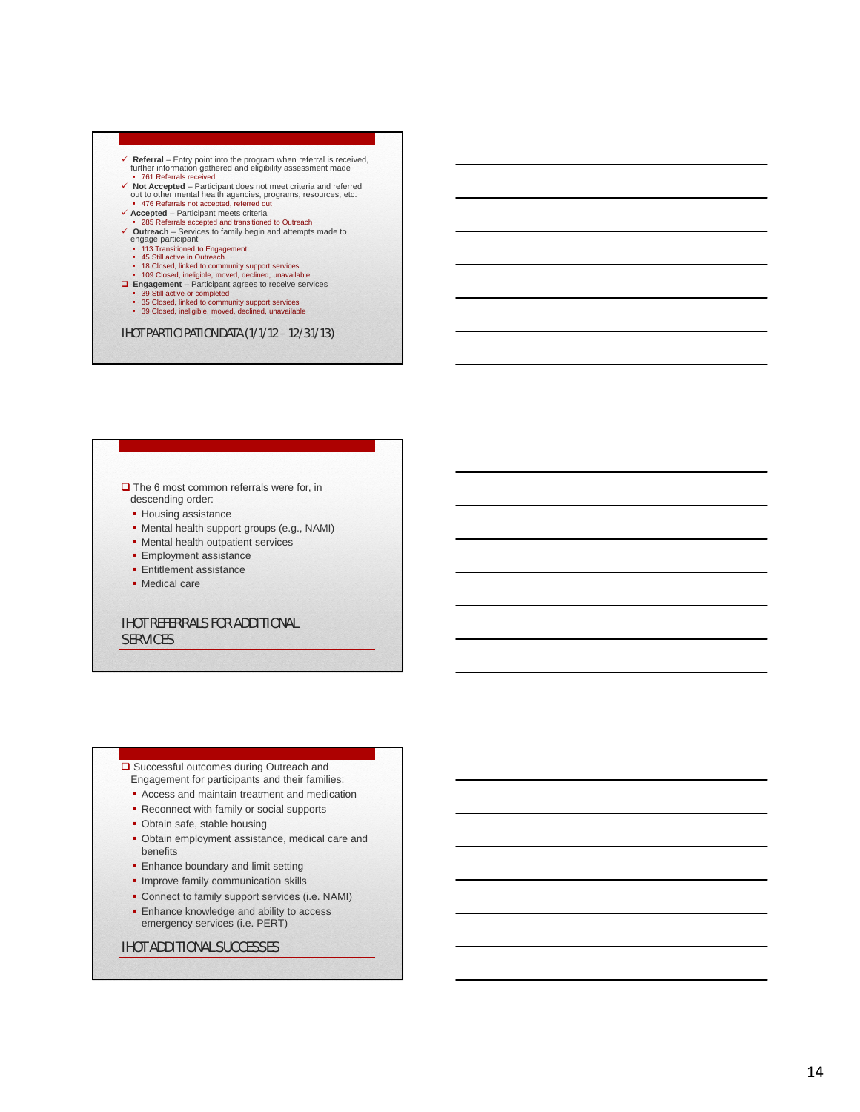- V Referral Entry point into the program when referral is received,<br>
turther information gathered and eligibility assessment made<br>
 761 Referrals received<br>
 Vol Accepted Participant does not meet criteria and referre
- 
- 285 Referrals accepted and transitioned to Outreach
- **Outreach** Services to family begin and attempts made to engage participant 113 Transitioned to Engagement
	-
	-
	-
	- 45 Still active in Outreach<br>■ 18 Closed, linked to community support services<br>■ 109 Closed, ineligible, moved, declined, unavailable
	-
	-
- **Engagement** Participant agrees to receive services<br>
 39 Still active or completed<br>
 35 Closed, linked to community support services<br>
 39 Closed, ineligible, moved, declined, unavailable

# descending order:

- **Housing assistance**
- Mental health support groups (e.g., NAMI)
- Mental health outpatient services
- **Employment assistance**
- **Entitlement assistance**
- · Medical care

# IHOT REFERRALS FOR ADDITIONAL □ The 6 most common referrals were for, in<br>
descending order:<br>
• Housing assistance<br>
• Mental health support groups (e.g., NAN<br>
• Mental health outpatient services<br>
• Employment assistance<br>
• Medical care<br>
• Medical care<br>

- Engagement for participants and their families:
- Access and maintain treatment and medication
- **Reconnect with family or social supports**
- Obtain safe, stable housing
- <p>□ Successful outcomes during Outreach and Engagement for participants and their familiar Access and maintain treatment and medical Reconnect with family or social supports</p>\n<p>■ Obtain safe, stable housing</p>\n<p>■ Obtain employment assistance, medical benefits</p>\n<p>■ enhance boundary and limit setting</p>\n<p>■ Improve family communication skills</p>\n<p>■ Connect to family support services (i.e. N</p>\n<p>■ Ehhance knowledge and ability to access emergency services (i.e. PERT)</p>\n<p>IHOT ADDITIONAL SUCCESSES</p> Obtain employment assistance, medical care and benefits
- **Enhance boundary and limit setting**
- **· Improve family communication skills**
- Connect to family support services (i.e. NAMI)
- **Enhance knowledge and ability to access** emergency services (i.e. PERT)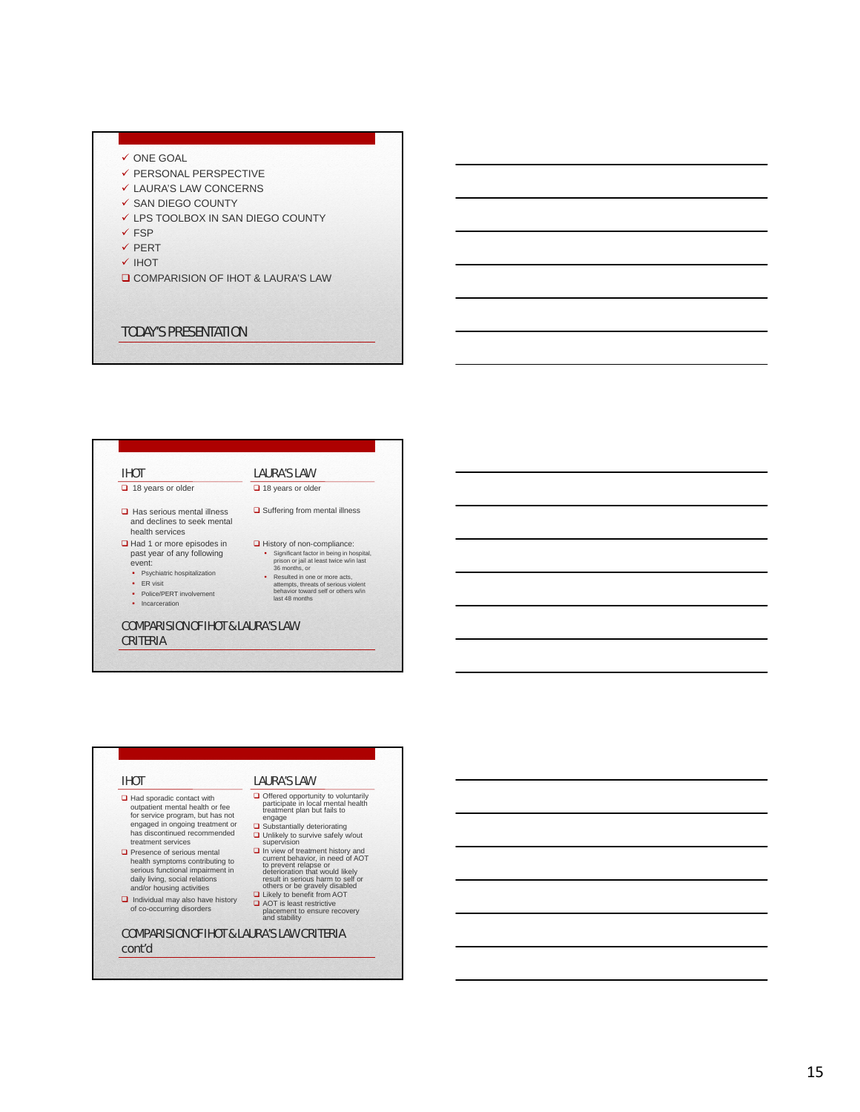- 
- 
- 
- 
- 
- 
- 
- V ONE GOAL<br>
V PERSONAL PERSPECTIVE<br>
V LAURA'S LAW CONCERNS<br>
V SAN DIEGO COUNTY<br>
V LPS TOOLBOX IN SAN DIEGO COUNTY<br>
V FSP<br>
V PERT<br>
V IHOT<br>
□ COMPARISION OF IHOT & LAURA'S LAW<br>
TODAY'S PRESENTATION

### IHOT

### $\Box$  18 years or older

- $\Box$  Has serious mental illness and declines to seek mental health services
- **□** Had 1 or more episodes in past year of any following
- event: • Psychiatric hospitalization
- · ER visit
- Police/PERT involvement
- Incarceration
- COMPARISION OF IHOT & LAURA'S LAW

## CRITERIA

### IHOT

- $\Box$  Had sporadic contact with outpatient mental health or fee for service program, but has not engaged in ongoing treatment or has discontinued recommended treatment services
- Presence of serious mental health symptoms contributing to serious functional impairment in daily living, social relations and/or housing activities
- Individual may also have history<br>of co-occurring disorders

### COMPARISION OF IHOT & LAURA'S LAW CRITERIA cont'd

# LAURA'S LAW

LAURA'S LAW  $\Box$  18 years or older

 $\Box$  Suffering from mental illness

History of non-compliance: Significant factor in being in hospital, prison or jail at least twice w/in last 36 months, or Resulted in one or more acts, attempts, threats of serious violent behavior toward self or others w/in last 48 months

- **□** Offered opportunity to voluntarily<br>participate in local mental health<br>treatment plan but fails to<br>engage<br>**□** Substantially deteriorating
- **□** Unlikely to survive safely w/out supervision
- **O** In view of treatment history and<br>to prevent relapse or<br>deterioration that would likely<br>result in serious harm to self or<br>others or be gravely disabled<br>**Others or be gravely disabled**<br>**D** Likely to benefit from AOT
- AOT is least restrictive placement to ensure recovery and stability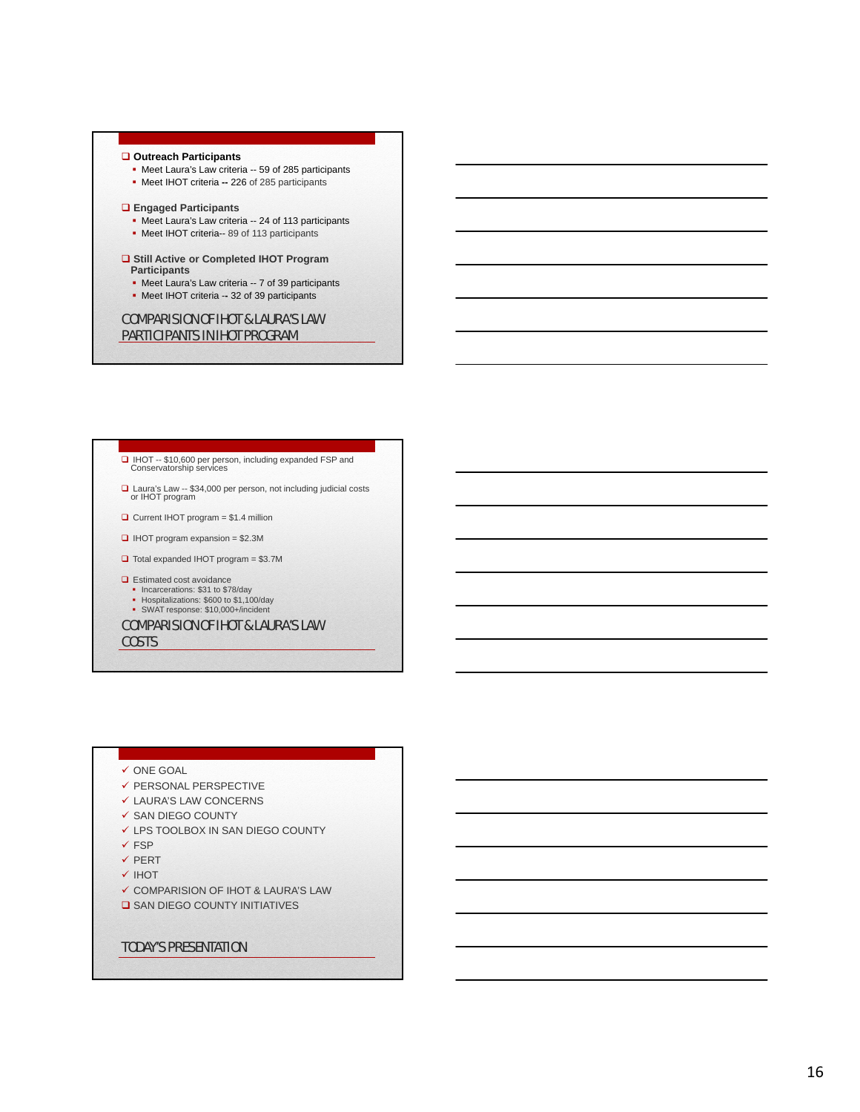### TODAY'S PRESENTATION

### **Q** SAN DIEGO COUNTY INITIATIVES

- $\checkmark$  COMPARISION OF IHOT & LAURA'S LAW
- **√ IHOT**
- $\checkmark$  PERT
- $\checkmark$ FSP
- LPS TOOLBOX IN SAN DIEGO COUNTY
- $\checkmark$  SAN DIEGO COUNTY
- LAURA'S LAW CONCERNS
- $\checkmark$  PERSONAL PERSPECTIVE
- $\checkmark$  ONE GOAL

### COMPARISION OF IHOT & LAURA'S LAW **COSTS**

- SWAT response: \$10,000+/incident
- Hospitalizations: \$600 to \$1,100/day
- Estimated cost avoidance Incarcerations: \$31 to \$78/day
- Total expanded IHOT program = \$3.7M
- $\Box$  IHOT program expansion = \$2.3M
- $\Box$  Current IHOT program = \$1.4 million
- □ Laura's Law -- \$34,000 per person, not including judicial costs or IHOT program

□ IHOT -- \$10,600 per person, including expanded FSP and Conservatorship services

### COMPARISION OF IHOT & LAURA'S LAW PARTICIPANTS IN IHOT PROGRAM

- Meet IHOT criteria -**-** 32 of 39 participants
- 
- 
- 
- 

- 
- 
- **□ Still Active or Completed IHOT Program**
- 

## **Engaged Participants**

• Meet Laura's Law criteria -- 59 of 285 participants Meet IHOT criteria **--** 226 of 285 participants

**Outreach Participants**

### • Meet Laura's Law criteria -- 7 of 39 participants

### **Participants**

- Meet IHOT criteria-- 89 of 113 participants
- Meet Laura's Law criteria -- 24 of 113 participants

- 
- 

16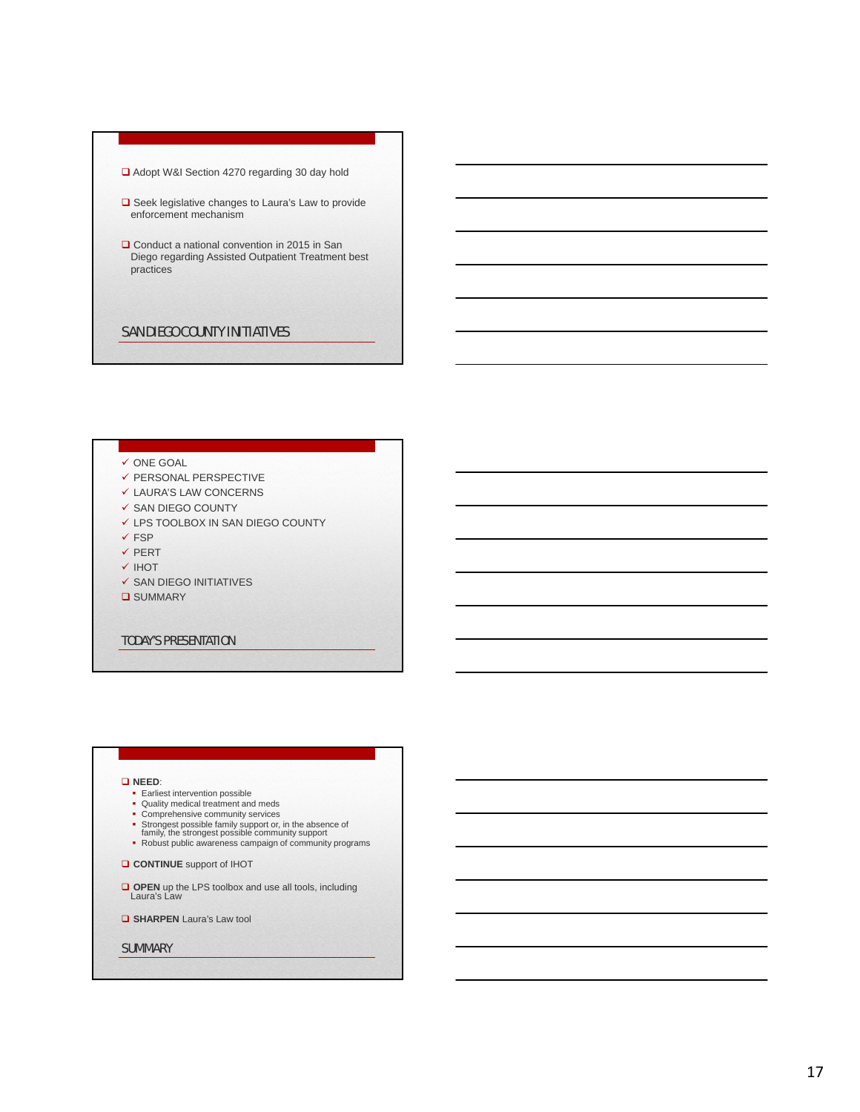- □ Adopt W&I Section 4270 regarding 30 day hold
- **□** Seek legislative changes to Laura's Law to provide enforcement mechanism
- □ Conduct a national convention in 2015 in San Diego regarding Assisted Outpatient Treatment best practices

### SAN DIEGO COUNTY INITIATIVES

### $\checkmark$  ONE GOAL

- $\checkmark$  PERSONAL PERSPECTIVE
- $\checkmark$  LAURA'S LAW CONCERNS
- $\checkmark$  SAN DIEGO COUNTY
- LPS TOOLBOX IN SAN DIEGO COUNTY
- $\checkmark$  FSP
- $\checkmark$  PERT
- **V IHOT**
- $\checkmark$  SAN DIEGO INITIATIVES
- **Q** SUMMARY

### TODAY'S PRESENTATION

### **NEED**:

- 
- Earliest intervention possible Quality medical treatment and meds
- 
- 
- Comprehensive community services Strongest possible family support or, in the absence of family, the strongest possible community support Robust public awareness campaign of community programs
- **CONTINUE** support of IHOT
- **OPEN** up the LPS toolbox and use all tools, including Laura's Law

**G** SHARPEN Laura's Law tool

**SUMMARY**